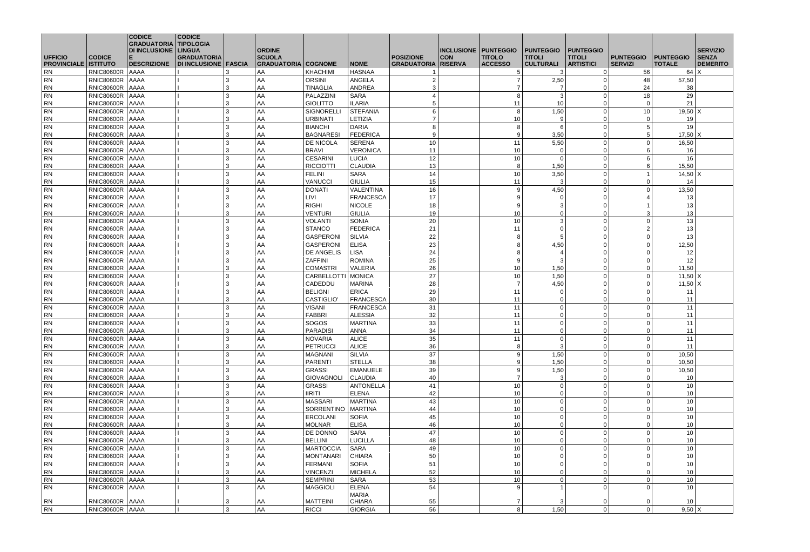| <b>DI INCLUSIONE   LINGUA</b><br><b>INCLUSIONE   PUNTEGGIO</b><br><b>TITOLI</b><br><b>GRADUATORIA</b><br><b>SCUOLA</b><br><b>POSIZIONE</b><br><b>CON</b><br><b>TITOLI</b><br><b>PUNTEGGIO</b><br><b>SENZA</b><br><b>CODICE</b><br><b>TITOLO</b><br><b>PUNTEGGIO</b><br>E<br><b>ACCESSO</b><br><b>CULTURALI</b><br><b>ARTISTICI</b><br><b>PROVINCIALE   ISTITUTO</b><br><b>DESCRIZIONE</b><br><b>DI INCLUSIONE   FASCIA</b><br><b>GRADUATORIA</b><br><b>COGNOME</b><br><b>NOME</b><br><b>GRADUATORIA RISERVA</b><br><b>SERVIZI</b><br><b>TOTALE</b><br><b>DEMERITO</b><br><b>RN</b><br><b>AAAA</b><br><b>KHACHIMI</b><br><b>HASNAA</b><br>56<br>$64$ X<br><b>RNIC80600R</b><br>AA<br>RNIC80600R   AAAA<br>57,50<br><b>RN</b><br>AA<br><b>ORSINI</b><br>ANGELA<br>2,50<br>48<br>2<br>RNIC80600R AAAA<br>3<br>AA<br><b>TINAGLIA</b><br><b>ANDREA</b><br>3<br>24<br><b>RN</b><br>38<br>PALAZZINI<br><b>SARA</b><br>3<br><b>RN</b><br>RNIC80600R   AAAA<br>3<br>AA<br>-8<br>18<br>29<br>21<br>5<br>10<br>RNIC80600R AAAA<br>3<br>AA<br><b>ILARIA</b><br>11<br><b>RN</b><br><b>GIOLITTO</b><br>$\Omega$<br>1,50<br><b>RN</b><br>RNIC80600R   AAAA<br>AA<br><b>STEFANIA</b><br>6<br>8<br>10<br>$19,50$ X<br>3<br><b>SIGNORELL</b><br>$\overline{7}$<br>RNIC80600R   AAAA<br>AA<br>19<br><b>RN</b><br>3<br><b>URBINATI</b><br><b>LETIZIA</b><br>10<br>9<br>- 0<br>3<br><b>RN</b><br>RNIC80600R   AAAA<br>AA<br><b>BIANCHI</b><br><b>DARIA</b><br>8<br>19<br>8<br>.5<br>AA<br>FEDERICA<br><b>RN</b><br>RNIC80600R   AAAA<br>3<br><b>BAGNARESI</b><br>9<br>3,50<br>.5<br>$17,50$ $X$<br>-9<br>11<br>5,50<br>16,50<br>RNIC80600R   AAAA<br>3<br>AA<br><b>SERENA</b><br>10<br><b>RN</b><br><b>DE NICOLA</b><br>$\Omega$<br>RNIC80600R   AAAA<br>AA<br><b>RN</b><br>3<br><b>BRAVI</b><br><b>VERONICA</b><br>11<br>10<br>16<br>$\Omega$<br>-6<br>16<br>RNIC80600R   AAAA<br>3<br>AA<br><b>CESARINI</b><br><b>LUCIA</b><br>12<br>10<br>6<br><b>RN</b><br>$\Omega$<br>8<br><b>RN</b><br>RNIC80600R   AAAA<br>3<br>AA<br><b>RICCIOTTI</b><br><b>CLAUDIA</b><br>13<br>1,50<br>6<br>15,50<br>RNIC80600R   AAAA<br>AA<br><b>SARA</b><br>14<br>10<br>3,50<br>$14,50$ $X$<br><b>RN</b><br>3<br><b>FELINI</b><br>15<br><b>RN</b><br>RNIC80600R AAAA<br>AA<br><b>GIULIA</b><br>11<br>14<br>3<br><b>VANUCCI</b><br>3<br>$\Omega$<br>AA<br><b>RN</b><br>RNIC80600R   AAAA<br><b>DONATI</b><br><b>VALENTINA</b><br>16<br>4,50<br>13,50<br>3<br>-9<br>RNIC80600R AAAA<br>3<br>17<br>AA<br><b>LIVI</b><br><b>FRANCESCA</b><br>13<br><b>RN</b><br>-9<br>$\Omega$<br>9<br><b>RN</b><br>RNIC80600R   AAAA<br>3<br>AA<br><b>RIGHI</b><br><b>NICOLE</b><br>18<br>3<br>13<br>13<br>RNIC80600R   AAAA<br>AA<br><b>GIULIA</b><br>19<br>10<br>3<br><b>RN</b><br>3<br><b>VENTURI</b><br>$\overline{0}$<br><b>RNIC80600R   AAAA</b><br>20<br>10<br>3<br>AA<br><b>SONIA</b><br>13<br><b>RN</b><br><b>VOLANTI</b><br>3<br>$\Omega$<br>RNIC80600R   AAAA<br><b>FEDERICA</b><br>21<br>13<br><b>RN</b><br>AA<br><b>STANCO</b><br>11<br>2<br>3<br>$\Omega$<br>22<br>13<br>RNIC80600R AAAA<br>3<br>AA<br><b>GASPERONI</b><br>8<br><b>RN</b><br><b>SILVIA</b><br>$\Omega$<br>3<br>AA<br><b>GASPERONI</b><br><b>ELISA</b><br>23<br><b>RN</b><br>RNIC80600R   AAAA<br>-8<br>4,50<br>12,50<br>- 0<br>24<br>12 <sup>°</sup><br>3<br><b>LISA</b><br>8<br><b>RN</b><br>RNIC80600R   AAAA<br>AA<br><b>DE ANGELIS</b><br>$\Omega$<br><b>RN</b><br>RNIC80600R   AAAA<br><b>ZAFFINI</b><br><b>ROMINA</b><br>25<br>9<br>12<br>3<br>AA<br>3<br>$\Omega$<br>26<br>AA<br>10<br>11,50<br><b>RN</b><br>RNIC80600R   AAAA<br>3<br><b>COMASTRI</b><br>1,50<br><b>VALERIA</b><br>$\Omega$<br>27<br>3<br>AA<br>10<br>1,50<br><b>RN</b><br><b>RNIC80600R</b><br><b>AAAA</b><br><b>CARBELLOTTI</b><br>MONICA<br>$11,50$ X<br>$\Omega$<br><b>RN</b><br>AA<br>CADEDDU<br>28<br>RNIC80600R   AAAA<br>3<br>$\overline{7}$<br>$11,50$ $X$<br><b>MARINA</b><br>4,50<br>$\Omega$<br>29<br>RNIC80600R AAAA<br>3<br>AA<br><b>ERICA</b><br>11<br><b>RN</b><br><b>BELIGNI</b><br>11<br>$\Omega$<br>$\Omega$<br> RN<br>RNIC80600R AAAA<br><b>CASTIGLIO'</b><br><b>FRANCESCA</b><br>AA.<br>30<br>0 <sup>1</sup><br>0<br>11<br>11<br>ు<br>31<br>AA<br>11<br>RNIC80600R   AAAA<br><b>VISANI</b><br><b>FRANCESCA</b><br>11<br>$\overline{0}$<br>  RN<br>3<br>$\Omega$<br>3<br>AA<br>32<br>11<br>  RN<br>RNIC80600R AAAA<br>FABBRI<br><b>ALESSIA</b><br>11<br>$\overline{0}$<br>$\Omega$<br>AA<br>33<br>11<br>11<br>RNIC80600R   AAAA<br>3<br><b>SOGOS</b><br><b>MARTINA</b><br>  RN<br>$\overline{0}$<br>$\Omega$<br>34<br>11<br>AA<br>11<br>RNIC80600R   AAAA<br>3<br><b>PARADISI</b><br>ANNA<br>  RN<br>$\overline{0}$<br>$\Omega$<br>11<br>RNIC80600R   AAAA<br>3<br>AA<br>35<br>11<br>  RN<br><b>NOVARIA</b><br><b>ALICE</b><br>$\overline{0}$<br>$\Omega$<br>36<br>$\mathbf{3}$<br>11<br>3<br>AA<br>8<br>$\Omega$<br>  RN<br>RNIC80600R   AAAA<br><b>PETRUCCI</b><br><b>ALICE</b><br>AA<br>RNIC80600R   AAAA<br>3<br><b>MAGNANI</b><br>37<br>9<br>1,50<br>10,50<br><b>RN</b><br><b>SILVIA</b><br>$\Omega$<br>38<br>1,50<br>10,50<br>  RN<br>RNIC80600R   AAAA<br>3<br>AA<br><b>PARENTI</b><br><b>STELLA</b><br>9<br>$\mathbf 0$<br>39<br>AA<br>1,50<br>10,50<br>  RN<br>RNIC80600R   AAAA<br>3<br><b>GRASSI</b><br><b>EMANUELE</b><br>9<br>$\Omega$<br>AA<br>  RN<br>RNIC80600R   AAAA<br><b>GIOVAGNOLI</b><br>CLAUDIA<br>40<br>$\overline{7}$<br>$\mathbf{3}$<br>10 <sup>°</sup><br>3<br>- 0<br>AA<br>10<br>RNIC80600R   AAAA<br>3<br><b>GRASSI</b><br>41<br>10<br>  RN<br><b>ANTONELLA</b><br>$\overline{0}$<br>AA<br>  RN<br>RNIC80600R   AAAA<br>3<br><b>IIRITI</b><br><b>ELENA</b><br>10 <sup>1</sup><br>42<br>10<br>$\overline{0}$<br>$\Omega$<br>10<br>AA<br>MARTINA<br>43<br>10<br>  RN<br>RNIC80600R   AAAA<br><b>MASSARI</b><br>$\overline{0}$<br>3<br>$\Omega$<br>RNIC80600R   AAAA<br>10<br>10 <sup>1</sup><br>3<br>AA<br>SORRENTINO<br><b>MARTINA</b><br>44<br><b>RN</b><br>$\overline{0}$<br>$\Omega$<br>45<br>$10$<br>10<br>AA<br>$\overline{0}$<br>  RN<br>3<br>$\Omega$<br>RNIC80600R   AAAA<br><b>ERCOLANI</b><br><b>SOFIA</b><br>RNIC80600R   AAAA<br>3<br>AA<br><b>ELISA</b><br>10<br>10 <sup>1</sup><br>  RN<br><b>MOLNAR</b><br>46<br>$\overline{0}$<br>$\Omega$<br>AA<br>RNIC80600R   AAAA<br>3<br>DE DONNO<br>SARA<br>47<br>10<br>10 <sup>1</sup><br>  RN<br>$\overline{0}$<br>$\Omega$<br>48<br>$10$<br>10<br>AA<br>$\overline{0}$<br>  RN<br>RNIC80600R   AAAA<br>3<br><b>BELLINI</b><br><b>LUCILLA</b><br>$\Omega$<br>AA<br>10<br>10 <sub>1</sub><br><b>RN</b><br>RNIC80600R   AAAA<br><b>MARTOCCIA</b><br>SARA<br>49<br>3<br>$\overline{0}$<br>- 0<br>50<br>10 <sup>1</sup><br>AA<br>10<br>$\overline{0}$<br>  RN<br>RNIC80600R   AAAA<br>3<br><b>MONTANARI</b><br><b>CHIARA</b><br>$\Omega$<br>3<br>AA<br>51<br>RNIC80600R   AAAA<br><b>FERMANI</b><br>10<br>10 <sup>1</sup><br>  RN<br><b>SOFIA</b><br>$\overline{0}$<br>$\Omega$<br>AA<br>RNIC80600R   AAAA<br><b>VINCENZI</b><br><b>MICHELA</b><br>52<br>10 <sup>1</sup><br>  RN<br>3<br>10<br>$\overline{0}$<br>$\Omega$<br>53<br>AA<br>10 <sup>1</sup><br>RNIC80600R   AAAA<br>3<br><b>SEMPRINI</b><br>10<br>  RN<br>SARA<br>$\overline{0}$<br>-0<br>RNIC80600R   AAAA<br>AA<br><b>MAGGIOLI</b><br><b>ELENA</b><br>54<br>10 <sup>1</sup><br>  RN<br>3<br>-9<br>$\Omega$<br><b>MARIA</b><br>RNIC80600R   AAAA<br>AA<br><b>MATTEINI</b><br><b>CHIARA</b><br>55<br>10 <sup>°</sup><br>  RN<br>3<br>3<br>$\,8\,$<br>$\mathbf{3}$<br>56<br>$\mathbf 0$<br>AA<br>1,50<br>$9,50 \mid X$<br>RNIC80600R   AAAA<br><b>RICCI</b><br>$\overline{0}$<br><b>GIORGIA</b> |                | <b>CODICE</b><br><b>GRADUATORIA TIPOLOGIA</b> | <b>CODICE</b> | <b>ORDINE</b> |  |  | <b>PUNTEGGIO</b> | <b>PUNTEGGIO</b> |  | <b>SERVIZIO</b> |
|------------------------------------------------------------------------------------------------------------------------------------------------------------------------------------------------------------------------------------------------------------------------------------------------------------------------------------------------------------------------------------------------------------------------------------------------------------------------------------------------------------------------------------------------------------------------------------------------------------------------------------------------------------------------------------------------------------------------------------------------------------------------------------------------------------------------------------------------------------------------------------------------------------------------------------------------------------------------------------------------------------------------------------------------------------------------------------------------------------------------------------------------------------------------------------------------------------------------------------------------------------------------------------------------------------------------------------------------------------------------------------------------------------------------------------------------------------------------------------------------------------------------------------------------------------------------------------------------------------------------------------------------------------------------------------------------------------------------------------------------------------------------------------------------------------------------------------------------------------------------------------------------------------------------------------------------------------------------------------------------------------------------------------------------------------------------------------------------------------------------------------------------------------------------------------------------------------------------------------------------------------------------------------------------------------------------------------------------------------------------------------------------------------------------------------------------------------------------------------------------------------------------------------------------------------------------------------------------------------------------------------------------------------------------------------------------------------------------------------------------------------------------------------------------------------------------------------------------------------------------------------------------------------------------------------------------------------------------------------------------------------------------------------------------------------------------------------------------------------------------------------------------------------------------------------------------------------------------------------------------------------------------------------------------------------------------------------------------------------------------------------------------------------------------------------------------------------------------------------------------------------------------------------------------------------------------------------------------------------------------------------------------------------------------------------------------------------------------------------------------------------------------------------------------------------------------------------------------------------------------------------------------------------------------------------------------------------------------------------------------------------------------------------------------------------------------------------------------------------------------------------------------------------------------------------------------------------------------------------------------------------------------------------------------------------------------------------------------------------------------------------------------------------------------------------------------------------------------------------------------------------------------------------------------------------------------------------------------------------------------------------------------------------------------------------------------------------------------------------------------------------------------------------------------------------------------------------------------------------------------------------------------------------------------------------------------------------------------------------------------------------------------------------------------------------------------------------------------------------------------------------------------------------------------------------------------------------------------------------------------------------------------------------------------------------------------------------------------------------------------------------------------------------------------------------------------------------------------------------------------------------------------------------------------------------------------------------------------------------------------------------------------------------------------------------------------------------------------------------------------------------------------------------------------------------------------------------------------------------------------------------------------------------------------------------------------------------------------------------------------------------------------------------------------------------------------------------------------------------------------------------------------------------------------------------------------------------------------------------------------------------------------------------------------------------------------------------------------------------------------------------------------------------------------------------------------------------------------------------------------------------------------------------------------------------------------------------------------------------------------------------------------------------------------------------------------------------------------------------------------------------------------------------------------------------------------------------------------------------------------------------------------------------------------------------------------------------------------------------------------------------------------------------------------------------------------------------------------------------------------------------------------------------------------------------------------------------------------------------------------------------------------------------------------------------------------------------------------------------------------------------------------------------------------------------------------------------------------------------------------------------------------------------------------------------|----------------|-----------------------------------------------|---------------|---------------|--|--|------------------|------------------|--|-----------------|
|                                                                                                                                                                                                                                                                                                                                                                                                                                                                                                                                                                                                                                                                                                                                                                                                                                                                                                                                                                                                                                                                                                                                                                                                                                                                                                                                                                                                                                                                                                                                                                                                                                                                                                                                                                                                                                                                                                                                                                                                                                                                                                                                                                                                                                                                                                                                                                                                                                                                                                                                                                                                                                                                                                                                                                                                                                                                                                                                                                                                                                                                                                                                                                                                                                                                                                                                                                                                                                                                                                                                                                                                                                                                                                                                                                                                                                                                                                                                                                                                                                                                                                                                                                                                                                                                                                                                                                                                                                                                                                                                                                                                                                                                                                                                                                                                                                                                                                                                                                                                                                                                                                                                                                                                                                                                                                                                                                                                                                                                                                                                                                                                                                                                                                                                                                                                                                                                                                                                                                                                                                                                                                                                                                                                                                                                                                                                                                                                                                                                                                                                                                                                                                                                                                                                                                                                                                                                                                                                                                                                                                                                                                                                                                                                                                                                                                                                                                                                                                                                                                                                                            | <b>UFFICIO</b> |                                               |               |               |  |  |                  |                  |  |                 |
|                                                                                                                                                                                                                                                                                                                                                                                                                                                                                                                                                                                                                                                                                                                                                                                                                                                                                                                                                                                                                                                                                                                                                                                                                                                                                                                                                                                                                                                                                                                                                                                                                                                                                                                                                                                                                                                                                                                                                                                                                                                                                                                                                                                                                                                                                                                                                                                                                                                                                                                                                                                                                                                                                                                                                                                                                                                                                                                                                                                                                                                                                                                                                                                                                                                                                                                                                                                                                                                                                                                                                                                                                                                                                                                                                                                                                                                                                                                                                                                                                                                                                                                                                                                                                                                                                                                                                                                                                                                                                                                                                                                                                                                                                                                                                                                                                                                                                                                                                                                                                                                                                                                                                                                                                                                                                                                                                                                                                                                                                                                                                                                                                                                                                                                                                                                                                                                                                                                                                                                                                                                                                                                                                                                                                                                                                                                                                                                                                                                                                                                                                                                                                                                                                                                                                                                                                                                                                                                                                                                                                                                                                                                                                                                                                                                                                                                                                                                                                                                                                                                                                            |                |                                               |               |               |  |  |                  |                  |  |                 |
|                                                                                                                                                                                                                                                                                                                                                                                                                                                                                                                                                                                                                                                                                                                                                                                                                                                                                                                                                                                                                                                                                                                                                                                                                                                                                                                                                                                                                                                                                                                                                                                                                                                                                                                                                                                                                                                                                                                                                                                                                                                                                                                                                                                                                                                                                                                                                                                                                                                                                                                                                                                                                                                                                                                                                                                                                                                                                                                                                                                                                                                                                                                                                                                                                                                                                                                                                                                                                                                                                                                                                                                                                                                                                                                                                                                                                                                                                                                                                                                                                                                                                                                                                                                                                                                                                                                                                                                                                                                                                                                                                                                                                                                                                                                                                                                                                                                                                                                                                                                                                                                                                                                                                                                                                                                                                                                                                                                                                                                                                                                                                                                                                                                                                                                                                                                                                                                                                                                                                                                                                                                                                                                                                                                                                                                                                                                                                                                                                                                                                                                                                                                                                                                                                                                                                                                                                                                                                                                                                                                                                                                                                                                                                                                                                                                                                                                                                                                                                                                                                                                                                            |                |                                               |               |               |  |  |                  |                  |  |                 |
|                                                                                                                                                                                                                                                                                                                                                                                                                                                                                                                                                                                                                                                                                                                                                                                                                                                                                                                                                                                                                                                                                                                                                                                                                                                                                                                                                                                                                                                                                                                                                                                                                                                                                                                                                                                                                                                                                                                                                                                                                                                                                                                                                                                                                                                                                                                                                                                                                                                                                                                                                                                                                                                                                                                                                                                                                                                                                                                                                                                                                                                                                                                                                                                                                                                                                                                                                                                                                                                                                                                                                                                                                                                                                                                                                                                                                                                                                                                                                                                                                                                                                                                                                                                                                                                                                                                                                                                                                                                                                                                                                                                                                                                                                                                                                                                                                                                                                                                                                                                                                                                                                                                                                                                                                                                                                                                                                                                                                                                                                                                                                                                                                                                                                                                                                                                                                                                                                                                                                                                                                                                                                                                                                                                                                                                                                                                                                                                                                                                                                                                                                                                                                                                                                                                                                                                                                                                                                                                                                                                                                                                                                                                                                                                                                                                                                                                                                                                                                                                                                                                                                            |                |                                               |               |               |  |  |                  |                  |  |                 |
|                                                                                                                                                                                                                                                                                                                                                                                                                                                                                                                                                                                                                                                                                                                                                                                                                                                                                                                                                                                                                                                                                                                                                                                                                                                                                                                                                                                                                                                                                                                                                                                                                                                                                                                                                                                                                                                                                                                                                                                                                                                                                                                                                                                                                                                                                                                                                                                                                                                                                                                                                                                                                                                                                                                                                                                                                                                                                                                                                                                                                                                                                                                                                                                                                                                                                                                                                                                                                                                                                                                                                                                                                                                                                                                                                                                                                                                                                                                                                                                                                                                                                                                                                                                                                                                                                                                                                                                                                                                                                                                                                                                                                                                                                                                                                                                                                                                                                                                                                                                                                                                                                                                                                                                                                                                                                                                                                                                                                                                                                                                                                                                                                                                                                                                                                                                                                                                                                                                                                                                                                                                                                                                                                                                                                                                                                                                                                                                                                                                                                                                                                                                                                                                                                                                                                                                                                                                                                                                                                                                                                                                                                                                                                                                                                                                                                                                                                                                                                                                                                                                                                            |                |                                               |               |               |  |  |                  |                  |  |                 |
|                                                                                                                                                                                                                                                                                                                                                                                                                                                                                                                                                                                                                                                                                                                                                                                                                                                                                                                                                                                                                                                                                                                                                                                                                                                                                                                                                                                                                                                                                                                                                                                                                                                                                                                                                                                                                                                                                                                                                                                                                                                                                                                                                                                                                                                                                                                                                                                                                                                                                                                                                                                                                                                                                                                                                                                                                                                                                                                                                                                                                                                                                                                                                                                                                                                                                                                                                                                                                                                                                                                                                                                                                                                                                                                                                                                                                                                                                                                                                                                                                                                                                                                                                                                                                                                                                                                                                                                                                                                                                                                                                                                                                                                                                                                                                                                                                                                                                                                                                                                                                                                                                                                                                                                                                                                                                                                                                                                                                                                                                                                                                                                                                                                                                                                                                                                                                                                                                                                                                                                                                                                                                                                                                                                                                                                                                                                                                                                                                                                                                                                                                                                                                                                                                                                                                                                                                                                                                                                                                                                                                                                                                                                                                                                                                                                                                                                                                                                                                                                                                                                                                            |                |                                               |               |               |  |  |                  |                  |  |                 |
|                                                                                                                                                                                                                                                                                                                                                                                                                                                                                                                                                                                                                                                                                                                                                                                                                                                                                                                                                                                                                                                                                                                                                                                                                                                                                                                                                                                                                                                                                                                                                                                                                                                                                                                                                                                                                                                                                                                                                                                                                                                                                                                                                                                                                                                                                                                                                                                                                                                                                                                                                                                                                                                                                                                                                                                                                                                                                                                                                                                                                                                                                                                                                                                                                                                                                                                                                                                                                                                                                                                                                                                                                                                                                                                                                                                                                                                                                                                                                                                                                                                                                                                                                                                                                                                                                                                                                                                                                                                                                                                                                                                                                                                                                                                                                                                                                                                                                                                                                                                                                                                                                                                                                                                                                                                                                                                                                                                                                                                                                                                                                                                                                                                                                                                                                                                                                                                                                                                                                                                                                                                                                                                                                                                                                                                                                                                                                                                                                                                                                                                                                                                                                                                                                                                                                                                                                                                                                                                                                                                                                                                                                                                                                                                                                                                                                                                                                                                                                                                                                                                                                            |                |                                               |               |               |  |  |                  |                  |  |                 |
|                                                                                                                                                                                                                                                                                                                                                                                                                                                                                                                                                                                                                                                                                                                                                                                                                                                                                                                                                                                                                                                                                                                                                                                                                                                                                                                                                                                                                                                                                                                                                                                                                                                                                                                                                                                                                                                                                                                                                                                                                                                                                                                                                                                                                                                                                                                                                                                                                                                                                                                                                                                                                                                                                                                                                                                                                                                                                                                                                                                                                                                                                                                                                                                                                                                                                                                                                                                                                                                                                                                                                                                                                                                                                                                                                                                                                                                                                                                                                                                                                                                                                                                                                                                                                                                                                                                                                                                                                                                                                                                                                                                                                                                                                                                                                                                                                                                                                                                                                                                                                                                                                                                                                                                                                                                                                                                                                                                                                                                                                                                                                                                                                                                                                                                                                                                                                                                                                                                                                                                                                                                                                                                                                                                                                                                                                                                                                                                                                                                                                                                                                                                                                                                                                                                                                                                                                                                                                                                                                                                                                                                                                                                                                                                                                                                                                                                                                                                                                                                                                                                                                            |                |                                               |               |               |  |  |                  |                  |  |                 |
|                                                                                                                                                                                                                                                                                                                                                                                                                                                                                                                                                                                                                                                                                                                                                                                                                                                                                                                                                                                                                                                                                                                                                                                                                                                                                                                                                                                                                                                                                                                                                                                                                                                                                                                                                                                                                                                                                                                                                                                                                                                                                                                                                                                                                                                                                                                                                                                                                                                                                                                                                                                                                                                                                                                                                                                                                                                                                                                                                                                                                                                                                                                                                                                                                                                                                                                                                                                                                                                                                                                                                                                                                                                                                                                                                                                                                                                                                                                                                                                                                                                                                                                                                                                                                                                                                                                                                                                                                                                                                                                                                                                                                                                                                                                                                                                                                                                                                                                                                                                                                                                                                                                                                                                                                                                                                                                                                                                                                                                                                                                                                                                                                                                                                                                                                                                                                                                                                                                                                                                                                                                                                                                                                                                                                                                                                                                                                                                                                                                                                                                                                                                                                                                                                                                                                                                                                                                                                                                                                                                                                                                                                                                                                                                                                                                                                                                                                                                                                                                                                                                                                            |                |                                               |               |               |  |  |                  |                  |  |                 |
|                                                                                                                                                                                                                                                                                                                                                                                                                                                                                                                                                                                                                                                                                                                                                                                                                                                                                                                                                                                                                                                                                                                                                                                                                                                                                                                                                                                                                                                                                                                                                                                                                                                                                                                                                                                                                                                                                                                                                                                                                                                                                                                                                                                                                                                                                                                                                                                                                                                                                                                                                                                                                                                                                                                                                                                                                                                                                                                                                                                                                                                                                                                                                                                                                                                                                                                                                                                                                                                                                                                                                                                                                                                                                                                                                                                                                                                                                                                                                                                                                                                                                                                                                                                                                                                                                                                                                                                                                                                                                                                                                                                                                                                                                                                                                                                                                                                                                                                                                                                                                                                                                                                                                                                                                                                                                                                                                                                                                                                                                                                                                                                                                                                                                                                                                                                                                                                                                                                                                                                                                                                                                                                                                                                                                                                                                                                                                                                                                                                                                                                                                                                                                                                                                                                                                                                                                                                                                                                                                                                                                                                                                                                                                                                                                                                                                                                                                                                                                                                                                                                                                            |                |                                               |               |               |  |  |                  |                  |  |                 |
|                                                                                                                                                                                                                                                                                                                                                                                                                                                                                                                                                                                                                                                                                                                                                                                                                                                                                                                                                                                                                                                                                                                                                                                                                                                                                                                                                                                                                                                                                                                                                                                                                                                                                                                                                                                                                                                                                                                                                                                                                                                                                                                                                                                                                                                                                                                                                                                                                                                                                                                                                                                                                                                                                                                                                                                                                                                                                                                                                                                                                                                                                                                                                                                                                                                                                                                                                                                                                                                                                                                                                                                                                                                                                                                                                                                                                                                                                                                                                                                                                                                                                                                                                                                                                                                                                                                                                                                                                                                                                                                                                                                                                                                                                                                                                                                                                                                                                                                                                                                                                                                                                                                                                                                                                                                                                                                                                                                                                                                                                                                                                                                                                                                                                                                                                                                                                                                                                                                                                                                                                                                                                                                                                                                                                                                                                                                                                                                                                                                                                                                                                                                                                                                                                                                                                                                                                                                                                                                                                                                                                                                                                                                                                                                                                                                                                                                                                                                                                                                                                                                                                            |                |                                               |               |               |  |  |                  |                  |  |                 |
|                                                                                                                                                                                                                                                                                                                                                                                                                                                                                                                                                                                                                                                                                                                                                                                                                                                                                                                                                                                                                                                                                                                                                                                                                                                                                                                                                                                                                                                                                                                                                                                                                                                                                                                                                                                                                                                                                                                                                                                                                                                                                                                                                                                                                                                                                                                                                                                                                                                                                                                                                                                                                                                                                                                                                                                                                                                                                                                                                                                                                                                                                                                                                                                                                                                                                                                                                                                                                                                                                                                                                                                                                                                                                                                                                                                                                                                                                                                                                                                                                                                                                                                                                                                                                                                                                                                                                                                                                                                                                                                                                                                                                                                                                                                                                                                                                                                                                                                                                                                                                                                                                                                                                                                                                                                                                                                                                                                                                                                                                                                                                                                                                                                                                                                                                                                                                                                                                                                                                                                                                                                                                                                                                                                                                                                                                                                                                                                                                                                                                                                                                                                                                                                                                                                                                                                                                                                                                                                                                                                                                                                                                                                                                                                                                                                                                                                                                                                                                                                                                                                                                            |                |                                               |               |               |  |  |                  |                  |  |                 |
|                                                                                                                                                                                                                                                                                                                                                                                                                                                                                                                                                                                                                                                                                                                                                                                                                                                                                                                                                                                                                                                                                                                                                                                                                                                                                                                                                                                                                                                                                                                                                                                                                                                                                                                                                                                                                                                                                                                                                                                                                                                                                                                                                                                                                                                                                                                                                                                                                                                                                                                                                                                                                                                                                                                                                                                                                                                                                                                                                                                                                                                                                                                                                                                                                                                                                                                                                                                                                                                                                                                                                                                                                                                                                                                                                                                                                                                                                                                                                                                                                                                                                                                                                                                                                                                                                                                                                                                                                                                                                                                                                                                                                                                                                                                                                                                                                                                                                                                                                                                                                                                                                                                                                                                                                                                                                                                                                                                                                                                                                                                                                                                                                                                                                                                                                                                                                                                                                                                                                                                                                                                                                                                                                                                                                                                                                                                                                                                                                                                                                                                                                                                                                                                                                                                                                                                                                                                                                                                                                                                                                                                                                                                                                                                                                                                                                                                                                                                                                                                                                                                                                            |                |                                               |               |               |  |  |                  |                  |  |                 |
|                                                                                                                                                                                                                                                                                                                                                                                                                                                                                                                                                                                                                                                                                                                                                                                                                                                                                                                                                                                                                                                                                                                                                                                                                                                                                                                                                                                                                                                                                                                                                                                                                                                                                                                                                                                                                                                                                                                                                                                                                                                                                                                                                                                                                                                                                                                                                                                                                                                                                                                                                                                                                                                                                                                                                                                                                                                                                                                                                                                                                                                                                                                                                                                                                                                                                                                                                                                                                                                                                                                                                                                                                                                                                                                                                                                                                                                                                                                                                                                                                                                                                                                                                                                                                                                                                                                                                                                                                                                                                                                                                                                                                                                                                                                                                                                                                                                                                                                                                                                                                                                                                                                                                                                                                                                                                                                                                                                                                                                                                                                                                                                                                                                                                                                                                                                                                                                                                                                                                                                                                                                                                                                                                                                                                                                                                                                                                                                                                                                                                                                                                                                                                                                                                                                                                                                                                                                                                                                                                                                                                                                                                                                                                                                                                                                                                                                                                                                                                                                                                                                                                            |                |                                               |               |               |  |  |                  |                  |  |                 |
|                                                                                                                                                                                                                                                                                                                                                                                                                                                                                                                                                                                                                                                                                                                                                                                                                                                                                                                                                                                                                                                                                                                                                                                                                                                                                                                                                                                                                                                                                                                                                                                                                                                                                                                                                                                                                                                                                                                                                                                                                                                                                                                                                                                                                                                                                                                                                                                                                                                                                                                                                                                                                                                                                                                                                                                                                                                                                                                                                                                                                                                                                                                                                                                                                                                                                                                                                                                                                                                                                                                                                                                                                                                                                                                                                                                                                                                                                                                                                                                                                                                                                                                                                                                                                                                                                                                                                                                                                                                                                                                                                                                                                                                                                                                                                                                                                                                                                                                                                                                                                                                                                                                                                                                                                                                                                                                                                                                                                                                                                                                                                                                                                                                                                                                                                                                                                                                                                                                                                                                                                                                                                                                                                                                                                                                                                                                                                                                                                                                                                                                                                                                                                                                                                                                                                                                                                                                                                                                                                                                                                                                                                                                                                                                                                                                                                                                                                                                                                                                                                                                                                            |                |                                               |               |               |  |  |                  |                  |  |                 |
|                                                                                                                                                                                                                                                                                                                                                                                                                                                                                                                                                                                                                                                                                                                                                                                                                                                                                                                                                                                                                                                                                                                                                                                                                                                                                                                                                                                                                                                                                                                                                                                                                                                                                                                                                                                                                                                                                                                                                                                                                                                                                                                                                                                                                                                                                                                                                                                                                                                                                                                                                                                                                                                                                                                                                                                                                                                                                                                                                                                                                                                                                                                                                                                                                                                                                                                                                                                                                                                                                                                                                                                                                                                                                                                                                                                                                                                                                                                                                                                                                                                                                                                                                                                                                                                                                                                                                                                                                                                                                                                                                                                                                                                                                                                                                                                                                                                                                                                                                                                                                                                                                                                                                                                                                                                                                                                                                                                                                                                                                                                                                                                                                                                                                                                                                                                                                                                                                                                                                                                                                                                                                                                                                                                                                                                                                                                                                                                                                                                                                                                                                                                                                                                                                                                                                                                                                                                                                                                                                                                                                                                                                                                                                                                                                                                                                                                                                                                                                                                                                                                                                            |                |                                               |               |               |  |  |                  |                  |  |                 |
|                                                                                                                                                                                                                                                                                                                                                                                                                                                                                                                                                                                                                                                                                                                                                                                                                                                                                                                                                                                                                                                                                                                                                                                                                                                                                                                                                                                                                                                                                                                                                                                                                                                                                                                                                                                                                                                                                                                                                                                                                                                                                                                                                                                                                                                                                                                                                                                                                                                                                                                                                                                                                                                                                                                                                                                                                                                                                                                                                                                                                                                                                                                                                                                                                                                                                                                                                                                                                                                                                                                                                                                                                                                                                                                                                                                                                                                                                                                                                                                                                                                                                                                                                                                                                                                                                                                                                                                                                                                                                                                                                                                                                                                                                                                                                                                                                                                                                                                                                                                                                                                                                                                                                                                                                                                                                                                                                                                                                                                                                                                                                                                                                                                                                                                                                                                                                                                                                                                                                                                                                                                                                                                                                                                                                                                                                                                                                                                                                                                                                                                                                                                                                                                                                                                                                                                                                                                                                                                                                                                                                                                                                                                                                                                                                                                                                                                                                                                                                                                                                                                                                            |                |                                               |               |               |  |  |                  |                  |  |                 |
|                                                                                                                                                                                                                                                                                                                                                                                                                                                                                                                                                                                                                                                                                                                                                                                                                                                                                                                                                                                                                                                                                                                                                                                                                                                                                                                                                                                                                                                                                                                                                                                                                                                                                                                                                                                                                                                                                                                                                                                                                                                                                                                                                                                                                                                                                                                                                                                                                                                                                                                                                                                                                                                                                                                                                                                                                                                                                                                                                                                                                                                                                                                                                                                                                                                                                                                                                                                                                                                                                                                                                                                                                                                                                                                                                                                                                                                                                                                                                                                                                                                                                                                                                                                                                                                                                                                                                                                                                                                                                                                                                                                                                                                                                                                                                                                                                                                                                                                                                                                                                                                                                                                                                                                                                                                                                                                                                                                                                                                                                                                                                                                                                                                                                                                                                                                                                                                                                                                                                                                                                                                                                                                                                                                                                                                                                                                                                                                                                                                                                                                                                                                                                                                                                                                                                                                                                                                                                                                                                                                                                                                                                                                                                                                                                                                                                                                                                                                                                                                                                                                                                            |                |                                               |               |               |  |  |                  |                  |  |                 |
|                                                                                                                                                                                                                                                                                                                                                                                                                                                                                                                                                                                                                                                                                                                                                                                                                                                                                                                                                                                                                                                                                                                                                                                                                                                                                                                                                                                                                                                                                                                                                                                                                                                                                                                                                                                                                                                                                                                                                                                                                                                                                                                                                                                                                                                                                                                                                                                                                                                                                                                                                                                                                                                                                                                                                                                                                                                                                                                                                                                                                                                                                                                                                                                                                                                                                                                                                                                                                                                                                                                                                                                                                                                                                                                                                                                                                                                                                                                                                                                                                                                                                                                                                                                                                                                                                                                                                                                                                                                                                                                                                                                                                                                                                                                                                                                                                                                                                                                                                                                                                                                                                                                                                                                                                                                                                                                                                                                                                                                                                                                                                                                                                                                                                                                                                                                                                                                                                                                                                                                                                                                                                                                                                                                                                                                                                                                                                                                                                                                                                                                                                                                                                                                                                                                                                                                                                                                                                                                                                                                                                                                                                                                                                                                                                                                                                                                                                                                                                                                                                                                                                            |                |                                               |               |               |  |  |                  |                  |  |                 |
|                                                                                                                                                                                                                                                                                                                                                                                                                                                                                                                                                                                                                                                                                                                                                                                                                                                                                                                                                                                                                                                                                                                                                                                                                                                                                                                                                                                                                                                                                                                                                                                                                                                                                                                                                                                                                                                                                                                                                                                                                                                                                                                                                                                                                                                                                                                                                                                                                                                                                                                                                                                                                                                                                                                                                                                                                                                                                                                                                                                                                                                                                                                                                                                                                                                                                                                                                                                                                                                                                                                                                                                                                                                                                                                                                                                                                                                                                                                                                                                                                                                                                                                                                                                                                                                                                                                                                                                                                                                                                                                                                                                                                                                                                                                                                                                                                                                                                                                                                                                                                                                                                                                                                                                                                                                                                                                                                                                                                                                                                                                                                                                                                                                                                                                                                                                                                                                                                                                                                                                                                                                                                                                                                                                                                                                                                                                                                                                                                                                                                                                                                                                                                                                                                                                                                                                                                                                                                                                                                                                                                                                                                                                                                                                                                                                                                                                                                                                                                                                                                                                                                            |                |                                               |               |               |  |  |                  |                  |  |                 |
|                                                                                                                                                                                                                                                                                                                                                                                                                                                                                                                                                                                                                                                                                                                                                                                                                                                                                                                                                                                                                                                                                                                                                                                                                                                                                                                                                                                                                                                                                                                                                                                                                                                                                                                                                                                                                                                                                                                                                                                                                                                                                                                                                                                                                                                                                                                                                                                                                                                                                                                                                                                                                                                                                                                                                                                                                                                                                                                                                                                                                                                                                                                                                                                                                                                                                                                                                                                                                                                                                                                                                                                                                                                                                                                                                                                                                                                                                                                                                                                                                                                                                                                                                                                                                                                                                                                                                                                                                                                                                                                                                                                                                                                                                                                                                                                                                                                                                                                                                                                                                                                                                                                                                                                                                                                                                                                                                                                                                                                                                                                                                                                                                                                                                                                                                                                                                                                                                                                                                                                                                                                                                                                                                                                                                                                                                                                                                                                                                                                                                                                                                                                                                                                                                                                                                                                                                                                                                                                                                                                                                                                                                                                                                                                                                                                                                                                                                                                                                                                                                                                                                            |                |                                               |               |               |  |  |                  |                  |  |                 |
|                                                                                                                                                                                                                                                                                                                                                                                                                                                                                                                                                                                                                                                                                                                                                                                                                                                                                                                                                                                                                                                                                                                                                                                                                                                                                                                                                                                                                                                                                                                                                                                                                                                                                                                                                                                                                                                                                                                                                                                                                                                                                                                                                                                                                                                                                                                                                                                                                                                                                                                                                                                                                                                                                                                                                                                                                                                                                                                                                                                                                                                                                                                                                                                                                                                                                                                                                                                                                                                                                                                                                                                                                                                                                                                                                                                                                                                                                                                                                                                                                                                                                                                                                                                                                                                                                                                                                                                                                                                                                                                                                                                                                                                                                                                                                                                                                                                                                                                                                                                                                                                                                                                                                                                                                                                                                                                                                                                                                                                                                                                                                                                                                                                                                                                                                                                                                                                                                                                                                                                                                                                                                                                                                                                                                                                                                                                                                                                                                                                                                                                                                                                                                                                                                                                                                                                                                                                                                                                                                                                                                                                                                                                                                                                                                                                                                                                                                                                                                                                                                                                                                            |                |                                               |               |               |  |  |                  |                  |  |                 |
|                                                                                                                                                                                                                                                                                                                                                                                                                                                                                                                                                                                                                                                                                                                                                                                                                                                                                                                                                                                                                                                                                                                                                                                                                                                                                                                                                                                                                                                                                                                                                                                                                                                                                                                                                                                                                                                                                                                                                                                                                                                                                                                                                                                                                                                                                                                                                                                                                                                                                                                                                                                                                                                                                                                                                                                                                                                                                                                                                                                                                                                                                                                                                                                                                                                                                                                                                                                                                                                                                                                                                                                                                                                                                                                                                                                                                                                                                                                                                                                                                                                                                                                                                                                                                                                                                                                                                                                                                                                                                                                                                                                                                                                                                                                                                                                                                                                                                                                                                                                                                                                                                                                                                                                                                                                                                                                                                                                                                                                                                                                                                                                                                                                                                                                                                                                                                                                                                                                                                                                                                                                                                                                                                                                                                                                                                                                                                                                                                                                                                                                                                                                                                                                                                                                                                                                                                                                                                                                                                                                                                                                                                                                                                                                                                                                                                                                                                                                                                                                                                                                                                            |                |                                               |               |               |  |  |                  |                  |  |                 |
|                                                                                                                                                                                                                                                                                                                                                                                                                                                                                                                                                                                                                                                                                                                                                                                                                                                                                                                                                                                                                                                                                                                                                                                                                                                                                                                                                                                                                                                                                                                                                                                                                                                                                                                                                                                                                                                                                                                                                                                                                                                                                                                                                                                                                                                                                                                                                                                                                                                                                                                                                                                                                                                                                                                                                                                                                                                                                                                                                                                                                                                                                                                                                                                                                                                                                                                                                                                                                                                                                                                                                                                                                                                                                                                                                                                                                                                                                                                                                                                                                                                                                                                                                                                                                                                                                                                                                                                                                                                                                                                                                                                                                                                                                                                                                                                                                                                                                                                                                                                                                                                                                                                                                                                                                                                                                                                                                                                                                                                                                                                                                                                                                                                                                                                                                                                                                                                                                                                                                                                                                                                                                                                                                                                                                                                                                                                                                                                                                                                                                                                                                                                                                                                                                                                                                                                                                                                                                                                                                                                                                                                                                                                                                                                                                                                                                                                                                                                                                                                                                                                                                            |                |                                               |               |               |  |  |                  |                  |  |                 |
|                                                                                                                                                                                                                                                                                                                                                                                                                                                                                                                                                                                                                                                                                                                                                                                                                                                                                                                                                                                                                                                                                                                                                                                                                                                                                                                                                                                                                                                                                                                                                                                                                                                                                                                                                                                                                                                                                                                                                                                                                                                                                                                                                                                                                                                                                                                                                                                                                                                                                                                                                                                                                                                                                                                                                                                                                                                                                                                                                                                                                                                                                                                                                                                                                                                                                                                                                                                                                                                                                                                                                                                                                                                                                                                                                                                                                                                                                                                                                                                                                                                                                                                                                                                                                                                                                                                                                                                                                                                                                                                                                                                                                                                                                                                                                                                                                                                                                                                                                                                                                                                                                                                                                                                                                                                                                                                                                                                                                                                                                                                                                                                                                                                                                                                                                                                                                                                                                                                                                                                                                                                                                                                                                                                                                                                                                                                                                                                                                                                                                                                                                                                                                                                                                                                                                                                                                                                                                                                                                                                                                                                                                                                                                                                                                                                                                                                                                                                                                                                                                                                                                            |                |                                               |               |               |  |  |                  |                  |  |                 |
|                                                                                                                                                                                                                                                                                                                                                                                                                                                                                                                                                                                                                                                                                                                                                                                                                                                                                                                                                                                                                                                                                                                                                                                                                                                                                                                                                                                                                                                                                                                                                                                                                                                                                                                                                                                                                                                                                                                                                                                                                                                                                                                                                                                                                                                                                                                                                                                                                                                                                                                                                                                                                                                                                                                                                                                                                                                                                                                                                                                                                                                                                                                                                                                                                                                                                                                                                                                                                                                                                                                                                                                                                                                                                                                                                                                                                                                                                                                                                                                                                                                                                                                                                                                                                                                                                                                                                                                                                                                                                                                                                                                                                                                                                                                                                                                                                                                                                                                                                                                                                                                                                                                                                                                                                                                                                                                                                                                                                                                                                                                                                                                                                                                                                                                                                                                                                                                                                                                                                                                                                                                                                                                                                                                                                                                                                                                                                                                                                                                                                                                                                                                                                                                                                                                                                                                                                                                                                                                                                                                                                                                                                                                                                                                                                                                                                                                                                                                                                                                                                                                                                            |                |                                               |               |               |  |  |                  |                  |  |                 |
|                                                                                                                                                                                                                                                                                                                                                                                                                                                                                                                                                                                                                                                                                                                                                                                                                                                                                                                                                                                                                                                                                                                                                                                                                                                                                                                                                                                                                                                                                                                                                                                                                                                                                                                                                                                                                                                                                                                                                                                                                                                                                                                                                                                                                                                                                                                                                                                                                                                                                                                                                                                                                                                                                                                                                                                                                                                                                                                                                                                                                                                                                                                                                                                                                                                                                                                                                                                                                                                                                                                                                                                                                                                                                                                                                                                                                                                                                                                                                                                                                                                                                                                                                                                                                                                                                                                                                                                                                                                                                                                                                                                                                                                                                                                                                                                                                                                                                                                                                                                                                                                                                                                                                                                                                                                                                                                                                                                                                                                                                                                                                                                                                                                                                                                                                                                                                                                                                                                                                                                                                                                                                                                                                                                                                                                                                                                                                                                                                                                                                                                                                                                                                                                                                                                                                                                                                                                                                                                                                                                                                                                                                                                                                                                                                                                                                                                                                                                                                                                                                                                                                            |                |                                               |               |               |  |  |                  |                  |  |                 |
|                                                                                                                                                                                                                                                                                                                                                                                                                                                                                                                                                                                                                                                                                                                                                                                                                                                                                                                                                                                                                                                                                                                                                                                                                                                                                                                                                                                                                                                                                                                                                                                                                                                                                                                                                                                                                                                                                                                                                                                                                                                                                                                                                                                                                                                                                                                                                                                                                                                                                                                                                                                                                                                                                                                                                                                                                                                                                                                                                                                                                                                                                                                                                                                                                                                                                                                                                                                                                                                                                                                                                                                                                                                                                                                                                                                                                                                                                                                                                                                                                                                                                                                                                                                                                                                                                                                                                                                                                                                                                                                                                                                                                                                                                                                                                                                                                                                                                                                                                                                                                                                                                                                                                                                                                                                                                                                                                                                                                                                                                                                                                                                                                                                                                                                                                                                                                                                                                                                                                                                                                                                                                                                                                                                                                                                                                                                                                                                                                                                                                                                                                                                                                                                                                                                                                                                                                                                                                                                                                                                                                                                                                                                                                                                                                                                                                                                                                                                                                                                                                                                                                            |                |                                               |               |               |  |  |                  |                  |  |                 |
|                                                                                                                                                                                                                                                                                                                                                                                                                                                                                                                                                                                                                                                                                                                                                                                                                                                                                                                                                                                                                                                                                                                                                                                                                                                                                                                                                                                                                                                                                                                                                                                                                                                                                                                                                                                                                                                                                                                                                                                                                                                                                                                                                                                                                                                                                                                                                                                                                                                                                                                                                                                                                                                                                                                                                                                                                                                                                                                                                                                                                                                                                                                                                                                                                                                                                                                                                                                                                                                                                                                                                                                                                                                                                                                                                                                                                                                                                                                                                                                                                                                                                                                                                                                                                                                                                                                                                                                                                                                                                                                                                                                                                                                                                                                                                                                                                                                                                                                                                                                                                                                                                                                                                                                                                                                                                                                                                                                                                                                                                                                                                                                                                                                                                                                                                                                                                                                                                                                                                                                                                                                                                                                                                                                                                                                                                                                                                                                                                                                                                                                                                                                                                                                                                                                                                                                                                                                                                                                                                                                                                                                                                                                                                                                                                                                                                                                                                                                                                                                                                                                                                            |                |                                               |               |               |  |  |                  |                  |  |                 |
|                                                                                                                                                                                                                                                                                                                                                                                                                                                                                                                                                                                                                                                                                                                                                                                                                                                                                                                                                                                                                                                                                                                                                                                                                                                                                                                                                                                                                                                                                                                                                                                                                                                                                                                                                                                                                                                                                                                                                                                                                                                                                                                                                                                                                                                                                                                                                                                                                                                                                                                                                                                                                                                                                                                                                                                                                                                                                                                                                                                                                                                                                                                                                                                                                                                                                                                                                                                                                                                                                                                                                                                                                                                                                                                                                                                                                                                                                                                                                                                                                                                                                                                                                                                                                                                                                                                                                                                                                                                                                                                                                                                                                                                                                                                                                                                                                                                                                                                                                                                                                                                                                                                                                                                                                                                                                                                                                                                                                                                                                                                                                                                                                                                                                                                                                                                                                                                                                                                                                                                                                                                                                                                                                                                                                                                                                                                                                                                                                                                                                                                                                                                                                                                                                                                                                                                                                                                                                                                                                                                                                                                                                                                                                                                                                                                                                                                                                                                                                                                                                                                                                            |                |                                               |               |               |  |  |                  |                  |  |                 |
|                                                                                                                                                                                                                                                                                                                                                                                                                                                                                                                                                                                                                                                                                                                                                                                                                                                                                                                                                                                                                                                                                                                                                                                                                                                                                                                                                                                                                                                                                                                                                                                                                                                                                                                                                                                                                                                                                                                                                                                                                                                                                                                                                                                                                                                                                                                                                                                                                                                                                                                                                                                                                                                                                                                                                                                                                                                                                                                                                                                                                                                                                                                                                                                                                                                                                                                                                                                                                                                                                                                                                                                                                                                                                                                                                                                                                                                                                                                                                                                                                                                                                                                                                                                                                                                                                                                                                                                                                                                                                                                                                                                                                                                                                                                                                                                                                                                                                                                                                                                                                                                                                                                                                                                                                                                                                                                                                                                                                                                                                                                                                                                                                                                                                                                                                                                                                                                                                                                                                                                                                                                                                                                                                                                                                                                                                                                                                                                                                                                                                                                                                                                                                                                                                                                                                                                                                                                                                                                                                                                                                                                                                                                                                                                                                                                                                                                                                                                                                                                                                                                                                            |                |                                               |               |               |  |  |                  |                  |  |                 |
|                                                                                                                                                                                                                                                                                                                                                                                                                                                                                                                                                                                                                                                                                                                                                                                                                                                                                                                                                                                                                                                                                                                                                                                                                                                                                                                                                                                                                                                                                                                                                                                                                                                                                                                                                                                                                                                                                                                                                                                                                                                                                                                                                                                                                                                                                                                                                                                                                                                                                                                                                                                                                                                                                                                                                                                                                                                                                                                                                                                                                                                                                                                                                                                                                                                                                                                                                                                                                                                                                                                                                                                                                                                                                                                                                                                                                                                                                                                                                                                                                                                                                                                                                                                                                                                                                                                                                                                                                                                                                                                                                                                                                                                                                                                                                                                                                                                                                                                                                                                                                                                                                                                                                                                                                                                                                                                                                                                                                                                                                                                                                                                                                                                                                                                                                                                                                                                                                                                                                                                                                                                                                                                                                                                                                                                                                                                                                                                                                                                                                                                                                                                                                                                                                                                                                                                                                                                                                                                                                                                                                                                                                                                                                                                                                                                                                                                                                                                                                                                                                                                                                            |                |                                               |               |               |  |  |                  |                  |  |                 |
|                                                                                                                                                                                                                                                                                                                                                                                                                                                                                                                                                                                                                                                                                                                                                                                                                                                                                                                                                                                                                                                                                                                                                                                                                                                                                                                                                                                                                                                                                                                                                                                                                                                                                                                                                                                                                                                                                                                                                                                                                                                                                                                                                                                                                                                                                                                                                                                                                                                                                                                                                                                                                                                                                                                                                                                                                                                                                                                                                                                                                                                                                                                                                                                                                                                                                                                                                                                                                                                                                                                                                                                                                                                                                                                                                                                                                                                                                                                                                                                                                                                                                                                                                                                                                                                                                                                                                                                                                                                                                                                                                                                                                                                                                                                                                                                                                                                                                                                                                                                                                                                                                                                                                                                                                                                                                                                                                                                                                                                                                                                                                                                                                                                                                                                                                                                                                                                                                                                                                                                                                                                                                                                                                                                                                                                                                                                                                                                                                                                                                                                                                                                                                                                                                                                                                                                                                                                                                                                                                                                                                                                                                                                                                                                                                                                                                                                                                                                                                                                                                                                                                            |                |                                               |               |               |  |  |                  |                  |  |                 |
|                                                                                                                                                                                                                                                                                                                                                                                                                                                                                                                                                                                                                                                                                                                                                                                                                                                                                                                                                                                                                                                                                                                                                                                                                                                                                                                                                                                                                                                                                                                                                                                                                                                                                                                                                                                                                                                                                                                                                                                                                                                                                                                                                                                                                                                                                                                                                                                                                                                                                                                                                                                                                                                                                                                                                                                                                                                                                                                                                                                                                                                                                                                                                                                                                                                                                                                                                                                                                                                                                                                                                                                                                                                                                                                                                                                                                                                                                                                                                                                                                                                                                                                                                                                                                                                                                                                                                                                                                                                                                                                                                                                                                                                                                                                                                                                                                                                                                                                                                                                                                                                                                                                                                                                                                                                                                                                                                                                                                                                                                                                                                                                                                                                                                                                                                                                                                                                                                                                                                                                                                                                                                                                                                                                                                                                                                                                                                                                                                                                                                                                                                                                                                                                                                                                                                                                                                                                                                                                                                                                                                                                                                                                                                                                                                                                                                                                                                                                                                                                                                                                                                            |                |                                               |               |               |  |  |                  |                  |  |                 |
|                                                                                                                                                                                                                                                                                                                                                                                                                                                                                                                                                                                                                                                                                                                                                                                                                                                                                                                                                                                                                                                                                                                                                                                                                                                                                                                                                                                                                                                                                                                                                                                                                                                                                                                                                                                                                                                                                                                                                                                                                                                                                                                                                                                                                                                                                                                                                                                                                                                                                                                                                                                                                                                                                                                                                                                                                                                                                                                                                                                                                                                                                                                                                                                                                                                                                                                                                                                                                                                                                                                                                                                                                                                                                                                                                                                                                                                                                                                                                                                                                                                                                                                                                                                                                                                                                                                                                                                                                                                                                                                                                                                                                                                                                                                                                                                                                                                                                                                                                                                                                                                                                                                                                                                                                                                                                                                                                                                                                                                                                                                                                                                                                                                                                                                                                                                                                                                                                                                                                                                                                                                                                                                                                                                                                                                                                                                                                                                                                                                                                                                                                                                                                                                                                                                                                                                                                                                                                                                                                                                                                                                                                                                                                                                                                                                                                                                                                                                                                                                                                                                                                            |                |                                               |               |               |  |  |                  |                  |  |                 |
|                                                                                                                                                                                                                                                                                                                                                                                                                                                                                                                                                                                                                                                                                                                                                                                                                                                                                                                                                                                                                                                                                                                                                                                                                                                                                                                                                                                                                                                                                                                                                                                                                                                                                                                                                                                                                                                                                                                                                                                                                                                                                                                                                                                                                                                                                                                                                                                                                                                                                                                                                                                                                                                                                                                                                                                                                                                                                                                                                                                                                                                                                                                                                                                                                                                                                                                                                                                                                                                                                                                                                                                                                                                                                                                                                                                                                                                                                                                                                                                                                                                                                                                                                                                                                                                                                                                                                                                                                                                                                                                                                                                                                                                                                                                                                                                                                                                                                                                                                                                                                                                                                                                                                                                                                                                                                                                                                                                                                                                                                                                                                                                                                                                                                                                                                                                                                                                                                                                                                                                                                                                                                                                                                                                                                                                                                                                                                                                                                                                                                                                                                                                                                                                                                                                                                                                                                                                                                                                                                                                                                                                                                                                                                                                                                                                                                                                                                                                                                                                                                                                                                            |                |                                               |               |               |  |  |                  |                  |  |                 |
|                                                                                                                                                                                                                                                                                                                                                                                                                                                                                                                                                                                                                                                                                                                                                                                                                                                                                                                                                                                                                                                                                                                                                                                                                                                                                                                                                                                                                                                                                                                                                                                                                                                                                                                                                                                                                                                                                                                                                                                                                                                                                                                                                                                                                                                                                                                                                                                                                                                                                                                                                                                                                                                                                                                                                                                                                                                                                                                                                                                                                                                                                                                                                                                                                                                                                                                                                                                                                                                                                                                                                                                                                                                                                                                                                                                                                                                                                                                                                                                                                                                                                                                                                                                                                                                                                                                                                                                                                                                                                                                                                                                                                                                                                                                                                                                                                                                                                                                                                                                                                                                                                                                                                                                                                                                                                                                                                                                                                                                                                                                                                                                                                                                                                                                                                                                                                                                                                                                                                                                                                                                                                                                                                                                                                                                                                                                                                                                                                                                                                                                                                                                                                                                                                                                                                                                                                                                                                                                                                                                                                                                                                                                                                                                                                                                                                                                                                                                                                                                                                                                                                            |                |                                               |               |               |  |  |                  |                  |  |                 |
|                                                                                                                                                                                                                                                                                                                                                                                                                                                                                                                                                                                                                                                                                                                                                                                                                                                                                                                                                                                                                                                                                                                                                                                                                                                                                                                                                                                                                                                                                                                                                                                                                                                                                                                                                                                                                                                                                                                                                                                                                                                                                                                                                                                                                                                                                                                                                                                                                                                                                                                                                                                                                                                                                                                                                                                                                                                                                                                                                                                                                                                                                                                                                                                                                                                                                                                                                                                                                                                                                                                                                                                                                                                                                                                                                                                                                                                                                                                                                                                                                                                                                                                                                                                                                                                                                                                                                                                                                                                                                                                                                                                                                                                                                                                                                                                                                                                                                                                                                                                                                                                                                                                                                                                                                                                                                                                                                                                                                                                                                                                                                                                                                                                                                                                                                                                                                                                                                                                                                                                                                                                                                                                                                                                                                                                                                                                                                                                                                                                                                                                                                                                                                                                                                                                                                                                                                                                                                                                                                                                                                                                                                                                                                                                                                                                                                                                                                                                                                                                                                                                                                            |                |                                               |               |               |  |  |                  |                  |  |                 |
|                                                                                                                                                                                                                                                                                                                                                                                                                                                                                                                                                                                                                                                                                                                                                                                                                                                                                                                                                                                                                                                                                                                                                                                                                                                                                                                                                                                                                                                                                                                                                                                                                                                                                                                                                                                                                                                                                                                                                                                                                                                                                                                                                                                                                                                                                                                                                                                                                                                                                                                                                                                                                                                                                                                                                                                                                                                                                                                                                                                                                                                                                                                                                                                                                                                                                                                                                                                                                                                                                                                                                                                                                                                                                                                                                                                                                                                                                                                                                                                                                                                                                                                                                                                                                                                                                                                                                                                                                                                                                                                                                                                                                                                                                                                                                                                                                                                                                                                                                                                                                                                                                                                                                                                                                                                                                                                                                                                                                                                                                                                                                                                                                                                                                                                                                                                                                                                                                                                                                                                                                                                                                                                                                                                                                                                                                                                                                                                                                                                                                                                                                                                                                                                                                                                                                                                                                                                                                                                                                                                                                                                                                                                                                                                                                                                                                                                                                                                                                                                                                                                                                            |                |                                               |               |               |  |  |                  |                  |  |                 |
|                                                                                                                                                                                                                                                                                                                                                                                                                                                                                                                                                                                                                                                                                                                                                                                                                                                                                                                                                                                                                                                                                                                                                                                                                                                                                                                                                                                                                                                                                                                                                                                                                                                                                                                                                                                                                                                                                                                                                                                                                                                                                                                                                                                                                                                                                                                                                                                                                                                                                                                                                                                                                                                                                                                                                                                                                                                                                                                                                                                                                                                                                                                                                                                                                                                                                                                                                                                                                                                                                                                                                                                                                                                                                                                                                                                                                                                                                                                                                                                                                                                                                                                                                                                                                                                                                                                                                                                                                                                                                                                                                                                                                                                                                                                                                                                                                                                                                                                                                                                                                                                                                                                                                                                                                                                                                                                                                                                                                                                                                                                                                                                                                                                                                                                                                                                                                                                                                                                                                                                                                                                                                                                                                                                                                                                                                                                                                                                                                                                                                                                                                                                                                                                                                                                                                                                                                                                                                                                                                                                                                                                                                                                                                                                                                                                                                                                                                                                                                                                                                                                                                            |                |                                               |               |               |  |  |                  |                  |  |                 |
|                                                                                                                                                                                                                                                                                                                                                                                                                                                                                                                                                                                                                                                                                                                                                                                                                                                                                                                                                                                                                                                                                                                                                                                                                                                                                                                                                                                                                                                                                                                                                                                                                                                                                                                                                                                                                                                                                                                                                                                                                                                                                                                                                                                                                                                                                                                                                                                                                                                                                                                                                                                                                                                                                                                                                                                                                                                                                                                                                                                                                                                                                                                                                                                                                                                                                                                                                                                                                                                                                                                                                                                                                                                                                                                                                                                                                                                                                                                                                                                                                                                                                                                                                                                                                                                                                                                                                                                                                                                                                                                                                                                                                                                                                                                                                                                                                                                                                                                                                                                                                                                                                                                                                                                                                                                                                                                                                                                                                                                                                                                                                                                                                                                                                                                                                                                                                                                                                                                                                                                                                                                                                                                                                                                                                                                                                                                                                                                                                                                                                                                                                                                                                                                                                                                                                                                                                                                                                                                                                                                                                                                                                                                                                                                                                                                                                                                                                                                                                                                                                                                                                            |                |                                               |               |               |  |  |                  |                  |  |                 |
|                                                                                                                                                                                                                                                                                                                                                                                                                                                                                                                                                                                                                                                                                                                                                                                                                                                                                                                                                                                                                                                                                                                                                                                                                                                                                                                                                                                                                                                                                                                                                                                                                                                                                                                                                                                                                                                                                                                                                                                                                                                                                                                                                                                                                                                                                                                                                                                                                                                                                                                                                                                                                                                                                                                                                                                                                                                                                                                                                                                                                                                                                                                                                                                                                                                                                                                                                                                                                                                                                                                                                                                                                                                                                                                                                                                                                                                                                                                                                                                                                                                                                                                                                                                                                                                                                                                                                                                                                                                                                                                                                                                                                                                                                                                                                                                                                                                                                                                                                                                                                                                                                                                                                                                                                                                                                                                                                                                                                                                                                                                                                                                                                                                                                                                                                                                                                                                                                                                                                                                                                                                                                                                                                                                                                                                                                                                                                                                                                                                                                                                                                                                                                                                                                                                                                                                                                                                                                                                                                                                                                                                                                                                                                                                                                                                                                                                                                                                                                                                                                                                                                            |                |                                               |               |               |  |  |                  |                  |  |                 |
|                                                                                                                                                                                                                                                                                                                                                                                                                                                                                                                                                                                                                                                                                                                                                                                                                                                                                                                                                                                                                                                                                                                                                                                                                                                                                                                                                                                                                                                                                                                                                                                                                                                                                                                                                                                                                                                                                                                                                                                                                                                                                                                                                                                                                                                                                                                                                                                                                                                                                                                                                                                                                                                                                                                                                                                                                                                                                                                                                                                                                                                                                                                                                                                                                                                                                                                                                                                                                                                                                                                                                                                                                                                                                                                                                                                                                                                                                                                                                                                                                                                                                                                                                                                                                                                                                                                                                                                                                                                                                                                                                                                                                                                                                                                                                                                                                                                                                                                                                                                                                                                                                                                                                                                                                                                                                                                                                                                                                                                                                                                                                                                                                                                                                                                                                                                                                                                                                                                                                                                                                                                                                                                                                                                                                                                                                                                                                                                                                                                                                                                                                                                                                                                                                                                                                                                                                                                                                                                                                                                                                                                                                                                                                                                                                                                                                                                                                                                                                                                                                                                                                            |                |                                               |               |               |  |  |                  |                  |  |                 |
|                                                                                                                                                                                                                                                                                                                                                                                                                                                                                                                                                                                                                                                                                                                                                                                                                                                                                                                                                                                                                                                                                                                                                                                                                                                                                                                                                                                                                                                                                                                                                                                                                                                                                                                                                                                                                                                                                                                                                                                                                                                                                                                                                                                                                                                                                                                                                                                                                                                                                                                                                                                                                                                                                                                                                                                                                                                                                                                                                                                                                                                                                                                                                                                                                                                                                                                                                                                                                                                                                                                                                                                                                                                                                                                                                                                                                                                                                                                                                                                                                                                                                                                                                                                                                                                                                                                                                                                                                                                                                                                                                                                                                                                                                                                                                                                                                                                                                                                                                                                                                                                                                                                                                                                                                                                                                                                                                                                                                                                                                                                                                                                                                                                                                                                                                                                                                                                                                                                                                                                                                                                                                                                                                                                                                                                                                                                                                                                                                                                                                                                                                                                                                                                                                                                                                                                                                                                                                                                                                                                                                                                                                                                                                                                                                                                                                                                                                                                                                                                                                                                                                            |                |                                               |               |               |  |  |                  |                  |  |                 |
|                                                                                                                                                                                                                                                                                                                                                                                                                                                                                                                                                                                                                                                                                                                                                                                                                                                                                                                                                                                                                                                                                                                                                                                                                                                                                                                                                                                                                                                                                                                                                                                                                                                                                                                                                                                                                                                                                                                                                                                                                                                                                                                                                                                                                                                                                                                                                                                                                                                                                                                                                                                                                                                                                                                                                                                                                                                                                                                                                                                                                                                                                                                                                                                                                                                                                                                                                                                                                                                                                                                                                                                                                                                                                                                                                                                                                                                                                                                                                                                                                                                                                                                                                                                                                                                                                                                                                                                                                                                                                                                                                                                                                                                                                                                                                                                                                                                                                                                                                                                                                                                                                                                                                                                                                                                                                                                                                                                                                                                                                                                                                                                                                                                                                                                                                                                                                                                                                                                                                                                                                                                                                                                                                                                                                                                                                                                                                                                                                                                                                                                                                                                                                                                                                                                                                                                                                                                                                                                                                                                                                                                                                                                                                                                                                                                                                                                                                                                                                                                                                                                                                            |                |                                               |               |               |  |  |                  |                  |  |                 |
|                                                                                                                                                                                                                                                                                                                                                                                                                                                                                                                                                                                                                                                                                                                                                                                                                                                                                                                                                                                                                                                                                                                                                                                                                                                                                                                                                                                                                                                                                                                                                                                                                                                                                                                                                                                                                                                                                                                                                                                                                                                                                                                                                                                                                                                                                                                                                                                                                                                                                                                                                                                                                                                                                                                                                                                                                                                                                                                                                                                                                                                                                                                                                                                                                                                                                                                                                                                                                                                                                                                                                                                                                                                                                                                                                                                                                                                                                                                                                                                                                                                                                                                                                                                                                                                                                                                                                                                                                                                                                                                                                                                                                                                                                                                                                                                                                                                                                                                                                                                                                                                                                                                                                                                                                                                                                                                                                                                                                                                                                                                                                                                                                                                                                                                                                                                                                                                                                                                                                                                                                                                                                                                                                                                                                                                                                                                                                                                                                                                                                                                                                                                                                                                                                                                                                                                                                                                                                                                                                                                                                                                                                                                                                                                                                                                                                                                                                                                                                                                                                                                                                            |                |                                               |               |               |  |  |                  |                  |  |                 |
|                                                                                                                                                                                                                                                                                                                                                                                                                                                                                                                                                                                                                                                                                                                                                                                                                                                                                                                                                                                                                                                                                                                                                                                                                                                                                                                                                                                                                                                                                                                                                                                                                                                                                                                                                                                                                                                                                                                                                                                                                                                                                                                                                                                                                                                                                                                                                                                                                                                                                                                                                                                                                                                                                                                                                                                                                                                                                                                                                                                                                                                                                                                                                                                                                                                                                                                                                                                                                                                                                                                                                                                                                                                                                                                                                                                                                                                                                                                                                                                                                                                                                                                                                                                                                                                                                                                                                                                                                                                                                                                                                                                                                                                                                                                                                                                                                                                                                                                                                                                                                                                                                                                                                                                                                                                                                                                                                                                                                                                                                                                                                                                                                                                                                                                                                                                                                                                                                                                                                                                                                                                                                                                                                                                                                                                                                                                                                                                                                                                                                                                                                                                                                                                                                                                                                                                                                                                                                                                                                                                                                                                                                                                                                                                                                                                                                                                                                                                                                                                                                                                                                            |                |                                               |               |               |  |  |                  |                  |  |                 |
|                                                                                                                                                                                                                                                                                                                                                                                                                                                                                                                                                                                                                                                                                                                                                                                                                                                                                                                                                                                                                                                                                                                                                                                                                                                                                                                                                                                                                                                                                                                                                                                                                                                                                                                                                                                                                                                                                                                                                                                                                                                                                                                                                                                                                                                                                                                                                                                                                                                                                                                                                                                                                                                                                                                                                                                                                                                                                                                                                                                                                                                                                                                                                                                                                                                                                                                                                                                                                                                                                                                                                                                                                                                                                                                                                                                                                                                                                                                                                                                                                                                                                                                                                                                                                                                                                                                                                                                                                                                                                                                                                                                                                                                                                                                                                                                                                                                                                                                                                                                                                                                                                                                                                                                                                                                                                                                                                                                                                                                                                                                                                                                                                                                                                                                                                                                                                                                                                                                                                                                                                                                                                                                                                                                                                                                                                                                                                                                                                                                                                                                                                                                                                                                                                                                                                                                                                                                                                                                                                                                                                                                                                                                                                                                                                                                                                                                                                                                                                                                                                                                                                            |                |                                               |               |               |  |  |                  |                  |  |                 |
|                                                                                                                                                                                                                                                                                                                                                                                                                                                                                                                                                                                                                                                                                                                                                                                                                                                                                                                                                                                                                                                                                                                                                                                                                                                                                                                                                                                                                                                                                                                                                                                                                                                                                                                                                                                                                                                                                                                                                                                                                                                                                                                                                                                                                                                                                                                                                                                                                                                                                                                                                                                                                                                                                                                                                                                                                                                                                                                                                                                                                                                                                                                                                                                                                                                                                                                                                                                                                                                                                                                                                                                                                                                                                                                                                                                                                                                                                                                                                                                                                                                                                                                                                                                                                                                                                                                                                                                                                                                                                                                                                                                                                                                                                                                                                                                                                                                                                                                                                                                                                                                                                                                                                                                                                                                                                                                                                                                                                                                                                                                                                                                                                                                                                                                                                                                                                                                                                                                                                                                                                                                                                                                                                                                                                                                                                                                                                                                                                                                                                                                                                                                                                                                                                                                                                                                                                                                                                                                                                                                                                                                                                                                                                                                                                                                                                                                                                                                                                                                                                                                                                            |                |                                               |               |               |  |  |                  |                  |  |                 |
|                                                                                                                                                                                                                                                                                                                                                                                                                                                                                                                                                                                                                                                                                                                                                                                                                                                                                                                                                                                                                                                                                                                                                                                                                                                                                                                                                                                                                                                                                                                                                                                                                                                                                                                                                                                                                                                                                                                                                                                                                                                                                                                                                                                                                                                                                                                                                                                                                                                                                                                                                                                                                                                                                                                                                                                                                                                                                                                                                                                                                                                                                                                                                                                                                                                                                                                                                                                                                                                                                                                                                                                                                                                                                                                                                                                                                                                                                                                                                                                                                                                                                                                                                                                                                                                                                                                                                                                                                                                                                                                                                                                                                                                                                                                                                                                                                                                                                                                                                                                                                                                                                                                                                                                                                                                                                                                                                                                                                                                                                                                                                                                                                                                                                                                                                                                                                                                                                                                                                                                                                                                                                                                                                                                                                                                                                                                                                                                                                                                                                                                                                                                                                                                                                                                                                                                                                                                                                                                                                                                                                                                                                                                                                                                                                                                                                                                                                                                                                                                                                                                                                            |                |                                               |               |               |  |  |                  |                  |  |                 |
|                                                                                                                                                                                                                                                                                                                                                                                                                                                                                                                                                                                                                                                                                                                                                                                                                                                                                                                                                                                                                                                                                                                                                                                                                                                                                                                                                                                                                                                                                                                                                                                                                                                                                                                                                                                                                                                                                                                                                                                                                                                                                                                                                                                                                                                                                                                                                                                                                                                                                                                                                                                                                                                                                                                                                                                                                                                                                                                                                                                                                                                                                                                                                                                                                                                                                                                                                                                                                                                                                                                                                                                                                                                                                                                                                                                                                                                                                                                                                                                                                                                                                                                                                                                                                                                                                                                                                                                                                                                                                                                                                                                                                                                                                                                                                                                                                                                                                                                                                                                                                                                                                                                                                                                                                                                                                                                                                                                                                                                                                                                                                                                                                                                                                                                                                                                                                                                                                                                                                                                                                                                                                                                                                                                                                                                                                                                                                                                                                                                                                                                                                                                                                                                                                                                                                                                                                                                                                                                                                                                                                                                                                                                                                                                                                                                                                                                                                                                                                                                                                                                                                            |                |                                               |               |               |  |  |                  |                  |  |                 |
|                                                                                                                                                                                                                                                                                                                                                                                                                                                                                                                                                                                                                                                                                                                                                                                                                                                                                                                                                                                                                                                                                                                                                                                                                                                                                                                                                                                                                                                                                                                                                                                                                                                                                                                                                                                                                                                                                                                                                                                                                                                                                                                                                                                                                                                                                                                                                                                                                                                                                                                                                                                                                                                                                                                                                                                                                                                                                                                                                                                                                                                                                                                                                                                                                                                                                                                                                                                                                                                                                                                                                                                                                                                                                                                                                                                                                                                                                                                                                                                                                                                                                                                                                                                                                                                                                                                                                                                                                                                                                                                                                                                                                                                                                                                                                                                                                                                                                                                                                                                                                                                                                                                                                                                                                                                                                                                                                                                                                                                                                                                                                                                                                                                                                                                                                                                                                                                                                                                                                                                                                                                                                                                                                                                                                                                                                                                                                                                                                                                                                                                                                                                                                                                                                                                                                                                                                                                                                                                                                                                                                                                                                                                                                                                                                                                                                                                                                                                                                                                                                                                                                            |                |                                               |               |               |  |  |                  |                  |  |                 |
|                                                                                                                                                                                                                                                                                                                                                                                                                                                                                                                                                                                                                                                                                                                                                                                                                                                                                                                                                                                                                                                                                                                                                                                                                                                                                                                                                                                                                                                                                                                                                                                                                                                                                                                                                                                                                                                                                                                                                                                                                                                                                                                                                                                                                                                                                                                                                                                                                                                                                                                                                                                                                                                                                                                                                                                                                                                                                                                                                                                                                                                                                                                                                                                                                                                                                                                                                                                                                                                                                                                                                                                                                                                                                                                                                                                                                                                                                                                                                                                                                                                                                                                                                                                                                                                                                                                                                                                                                                                                                                                                                                                                                                                                                                                                                                                                                                                                                                                                                                                                                                                                                                                                                                                                                                                                                                                                                                                                                                                                                                                                                                                                                                                                                                                                                                                                                                                                                                                                                                                                                                                                                                                                                                                                                                                                                                                                                                                                                                                                                                                                                                                                                                                                                                                                                                                                                                                                                                                                                                                                                                                                                                                                                                                                                                                                                                                                                                                                                                                                                                                                                            |                |                                               |               |               |  |  |                  |                  |  |                 |
|                                                                                                                                                                                                                                                                                                                                                                                                                                                                                                                                                                                                                                                                                                                                                                                                                                                                                                                                                                                                                                                                                                                                                                                                                                                                                                                                                                                                                                                                                                                                                                                                                                                                                                                                                                                                                                                                                                                                                                                                                                                                                                                                                                                                                                                                                                                                                                                                                                                                                                                                                                                                                                                                                                                                                                                                                                                                                                                                                                                                                                                                                                                                                                                                                                                                                                                                                                                                                                                                                                                                                                                                                                                                                                                                                                                                                                                                                                                                                                                                                                                                                                                                                                                                                                                                                                                                                                                                                                                                                                                                                                                                                                                                                                                                                                                                                                                                                                                                                                                                                                                                                                                                                                                                                                                                                                                                                                                                                                                                                                                                                                                                                                                                                                                                                                                                                                                                                                                                                                                                                                                                                                                                                                                                                                                                                                                                                                                                                                                                                                                                                                                                                                                                                                                                                                                                                                                                                                                                                                                                                                                                                                                                                                                                                                                                                                                                                                                                                                                                                                                                                            |                |                                               |               |               |  |  |                  |                  |  |                 |
|                                                                                                                                                                                                                                                                                                                                                                                                                                                                                                                                                                                                                                                                                                                                                                                                                                                                                                                                                                                                                                                                                                                                                                                                                                                                                                                                                                                                                                                                                                                                                                                                                                                                                                                                                                                                                                                                                                                                                                                                                                                                                                                                                                                                                                                                                                                                                                                                                                                                                                                                                                                                                                                                                                                                                                                                                                                                                                                                                                                                                                                                                                                                                                                                                                                                                                                                                                                                                                                                                                                                                                                                                                                                                                                                                                                                                                                                                                                                                                                                                                                                                                                                                                                                                                                                                                                                                                                                                                                                                                                                                                                                                                                                                                                                                                                                                                                                                                                                                                                                                                                                                                                                                                                                                                                                                                                                                                                                                                                                                                                                                                                                                                                                                                                                                                                                                                                                                                                                                                                                                                                                                                                                                                                                                                                                                                                                                                                                                                                                                                                                                                                                                                                                                                                                                                                                                                                                                                                                                                                                                                                                                                                                                                                                                                                                                                                                                                                                                                                                                                                                                            |                |                                               |               |               |  |  |                  |                  |  |                 |
|                                                                                                                                                                                                                                                                                                                                                                                                                                                                                                                                                                                                                                                                                                                                                                                                                                                                                                                                                                                                                                                                                                                                                                                                                                                                                                                                                                                                                                                                                                                                                                                                                                                                                                                                                                                                                                                                                                                                                                                                                                                                                                                                                                                                                                                                                                                                                                                                                                                                                                                                                                                                                                                                                                                                                                                                                                                                                                                                                                                                                                                                                                                                                                                                                                                                                                                                                                                                                                                                                                                                                                                                                                                                                                                                                                                                                                                                                                                                                                                                                                                                                                                                                                                                                                                                                                                                                                                                                                                                                                                                                                                                                                                                                                                                                                                                                                                                                                                                                                                                                                                                                                                                                                                                                                                                                                                                                                                                                                                                                                                                                                                                                                                                                                                                                                                                                                                                                                                                                                                                                                                                                                                                                                                                                                                                                                                                                                                                                                                                                                                                                                                                                                                                                                                                                                                                                                                                                                                                                                                                                                                                                                                                                                                                                                                                                                                                                                                                                                                                                                                                                            |                |                                               |               |               |  |  |                  |                  |  |                 |
|                                                                                                                                                                                                                                                                                                                                                                                                                                                                                                                                                                                                                                                                                                                                                                                                                                                                                                                                                                                                                                                                                                                                                                                                                                                                                                                                                                                                                                                                                                                                                                                                                                                                                                                                                                                                                                                                                                                                                                                                                                                                                                                                                                                                                                                                                                                                                                                                                                                                                                                                                                                                                                                                                                                                                                                                                                                                                                                                                                                                                                                                                                                                                                                                                                                                                                                                                                                                                                                                                                                                                                                                                                                                                                                                                                                                                                                                                                                                                                                                                                                                                                                                                                                                                                                                                                                                                                                                                                                                                                                                                                                                                                                                                                                                                                                                                                                                                                                                                                                                                                                                                                                                                                                                                                                                                                                                                                                                                                                                                                                                                                                                                                                                                                                                                                                                                                                                                                                                                                                                                                                                                                                                                                                                                                                                                                                                                                                                                                                                                                                                                                                                                                                                                                                                                                                                                                                                                                                                                                                                                                                                                                                                                                                                                                                                                                                                                                                                                                                                                                                                                            |                |                                               |               |               |  |  |                  |                  |  |                 |
|                                                                                                                                                                                                                                                                                                                                                                                                                                                                                                                                                                                                                                                                                                                                                                                                                                                                                                                                                                                                                                                                                                                                                                                                                                                                                                                                                                                                                                                                                                                                                                                                                                                                                                                                                                                                                                                                                                                                                                                                                                                                                                                                                                                                                                                                                                                                                                                                                                                                                                                                                                                                                                                                                                                                                                                                                                                                                                                                                                                                                                                                                                                                                                                                                                                                                                                                                                                                                                                                                                                                                                                                                                                                                                                                                                                                                                                                                                                                                                                                                                                                                                                                                                                                                                                                                                                                                                                                                                                                                                                                                                                                                                                                                                                                                                                                                                                                                                                                                                                                                                                                                                                                                                                                                                                                                                                                                                                                                                                                                                                                                                                                                                                                                                                                                                                                                                                                                                                                                                                                                                                                                                                                                                                                                                                                                                                                                                                                                                                                                                                                                                                                                                                                                                                                                                                                                                                                                                                                                                                                                                                                                                                                                                                                                                                                                                                                                                                                                                                                                                                                                            | RN             |                                               |               |               |  |  |                  |                  |  |                 |